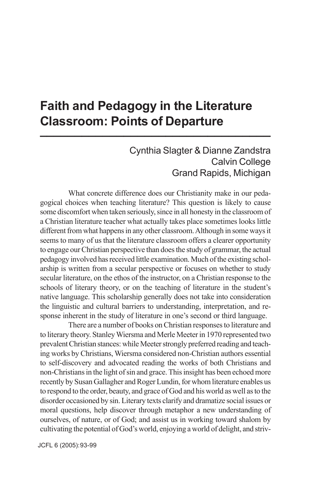## **Faith and Pedagogy in the Literature Classroom: Points of Departure 1**

## Cynthia Slagter & Dianne Zandstra Calvin College Grand Rapids, Michigan

What concrete difference does our Christianity make in our pedagogical choices when teaching literature? This question is likely to cause some discomfort when taken seriously, since in all honesty in the classroom of a Christian literature teacher what actually takes place sometimes looks little different from what happens in any other classroom. Although in some ways it seems to many of us that the literature classroom offers a clearer opportunity to engage our Christian perspective than does the study of grammar, the actual pedagogy involved has received little examination. Much of the existing scholarship is written from a secular perspective or focuses on whether to study secular literature, on the ethos of the instructor, on a Christian response to the schools of literary theory, or on the teaching of literature in the student's native language. This scholarship generally does not take into consideration the linguistic and cultural barriers to understanding, interpretation, and response inherent in the study of literature in one's second or third language.

There are a number of books on Christian responses to literature and to literary theory. Stanley Wiersma and Merle Meeter in 1970 represented two prevalent Christian stances: while Meeter strongly preferred reading and teaching works by Christians, Wiersma considered non-Christian authors essential to self-discovery and advocated reading the works of both Christians and non-Christians in the light of sin and grace. This insight has been echoed more recently by Susan Gallagher and Roger Lundin, for whom literature enables us to respond to the order, beauty, and grace of God and his world as well as to the disorder occasioned by sin. Literary texts clarify and dramatize social issues or moral questions, help discover through metaphor a new understanding of ourselves, of nature, or of God; and assist us in working toward shalom by cultivating the potential of God's world, enjoying a world of delight, and striv-

JCFL 6 (2005): 93-99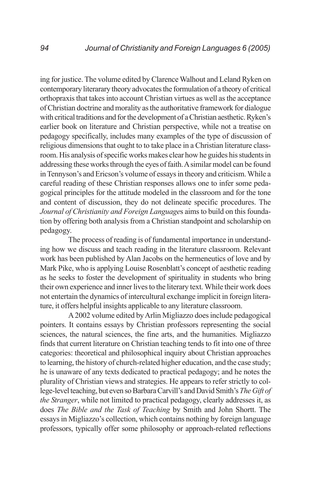ing for justice. The volume edited by Clarence Walhout and Leland Ryken on contemporary literarary theory advocates the formulation of a theory of critical orthopraxis that takes into account Christian virtues as well as the acceptance of Christian doctrine and morality as the authoritative framework for dialogue with critical traditions and for the development of a Christian aesthetic. Ryken's earlier book on literature and Christian perspective, while not a treatise on pedagogy specifically, includes many examples of the type of discussion of religious dimensions that ought to to take place in a Christian literature classroom. His analysis of specific works makes clear how he guides his students in addressing these works through the eyes of faith. A similar model can be found in Tennyson's and Ericson's volume of essays in theory and criticism. While a careful reading of these Christian responses allows one to infer some pedagogical principles for the attitude modeled in the classroom and for the tone and content of discussion, they do not delineate specific procedures. The *Journal of Christianity and Foreign Language*s aims to build on this foundation by offering both analysis from a Christian standpoint and scholarship on pedagogy.

The process of reading is of fundamental importance in understanding how we discuss and teach reading in the literature classroom. Relevant work has been published by Alan Jacobs on the hermeneutics of love and by Mark Pike, who is applying Louise Rosenblatt's concept of aesthetic reading as he seeks to foster the development of spirituality in students who bring their own experience and inner lives to the literary text. While their work does not entertain the dynamics of intercultural exchange implicit in foreign literature, it offers helpful insights applicable to any literature classroom.

A 2002 volume edited by Arlin Migliazzo does include pedagogical pointers. It contains essays by Christian professors representing the social sciences, the natural sciences, the fine arts, and the humanities. Migliazzo finds that current literature on Christian teaching tends to fit into one of three categories: theoretical and philosophical inquiry about Christian approaches to learning, the history of church-related higher education, and the case study; he is unaware of any texts dedicated to practical pedagogy; and he notes the plurality of Christian views and strategies. He appears to refer strictly to college-level teaching, but even so Barbara Carvill's and David Smith's *The Gift of the Stranger*, while not limited to practical pedagogy, clearly addresses it, as does *The Bible and the Task of Teaching* by Smith and John Shortt. The essays in Migliazzo's collection, which contains nothing by foreign language professors, typically offer some philosophy or approach-related reflections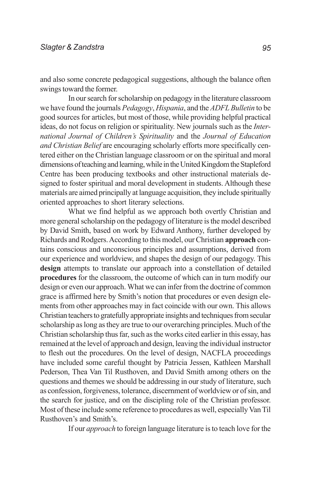and also some concrete pedagogical suggestions, although the balance often swings toward the former.

In our search for scholarship on pedagogy in the literature classroom we have found the journals *Pedagogy*, *Hispania*, and the *ADFL Bulletin* to be good sources for articles, but most of those, while providing helpful practical ideas, do not focus on religion or spirituality. New journals such as the *International Journal of Children's Spirituality* and the *Journal of Education and Christian Belief* are encouraging scholarly efforts more specifically centered either on the Christian language classroom or on the spiritual and moral dimensions of teaching and learning, while in the United Kingdom the Stapleford Centre has been producing textbooks and other instructional materials designed to foster spiritual and moral development in students. Although these materials are aimed principally at language acquisition, they include spiritually oriented approaches to short literary selections.

What we find helpful as we approach both overtly Christian and more general scholarship on the pedagogy of literature is the model described by David Smith, based on work by Edward Anthony, further developed by Richards and Rodgers. According to this model, our Christian **approach** contains conscious and unconscious principles and assumptions, derived from our experience and worldview, and shapes the design of our pedagogy. This **design** attempts to translate our approach into a constellation of detailed **procedures** for the classroom, the outcome of which can in turn modify our design or even our approach. What we can infer from the doctrine of common grace is affirmed here by Smith's notion that procedures or even design elements from other approaches may in fact coincide with our own. This allows Christian teachers to gratefully appropriate insights and techniques from secular scholarship as long as they are true to our overarching principles. Much of the Christian scholarship thus far, such as the works cited earlier in this essay, has remained at the level of approach and design, leaving the individual instructor to flesh out the procedures. On the level of design, NACFLA proceedings have included some careful thought by Patricia Jessen, Kathleen Marshall Pederson, Thea Van Til Rusthoven, and David Smith among others on the questions and themes we should be addressing in our study of literature, such as confession, forgiveness, tolerance, discernment of worldview or of sin, and the search for justice, and on the discipling role of the Christian professor. Most of these include some reference to procedures as well, especially Van Til Rusthoven's and Smith's.

If our *approach* to foreign language literature is to teach love for the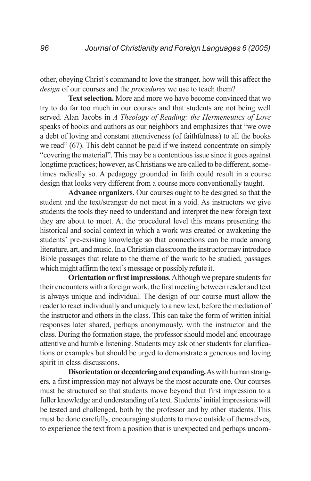other, obeying Christ's command to love the stranger, how will this affect the *design* of our courses and the *procedures* we use to teach them?

**Text selection.** More and more we have become convinced that we try to do far too much in our courses and that students are not being well served. Alan Jacobs in *A Theology of Reading: the Hermeneutics of Love* speaks of books and authors as our neighbors and emphasizes that "we owe a debt of loving and constant attentiveness (of faithfulness) to all the books we read" (67). This debt cannot be paid if we instead concentrate on simply "covering the material". This may be a contentious issue since it goes against longtime practices; however, as Christians we are called to be different, sometimes radically so. A pedagogy grounded in faith could result in a course design that looks very different from a course more conventionally taught.

**Advance organizers.** Our courses ought to be designed so that the student and the text/stranger do not meet in a void. As instructors we give students the tools they need to understand and interpret the new foreign text they are about to meet. At the procedural level this means presenting the historical and social context in which a work was created or awakening the students' pre-existing knowledge so that connections can be made among literature, art, and music. In a Christian classroom the instructor may introduce Bible passages that relate to the theme of the work to be studied, passages which might affirm the text's message or possibly refute it.

**Orientation or first impressions**. Although we prepare students for their encounters with a foreign work, the first meeting between reader and text is always unique and individual. The design of our course must allow the reader to react individually and uniquely to a new text, before the mediation of the instructor and others in the class. This can take the form of written initial responses later shared, perhaps anonymously, with the instructor and the class. During the formation stage, the professor should model and encourage attentive and humble listening. Students may ask other students for clarifications or examples but should be urged to demonstrate a generous and loving spirit in class discussions.

**Disorientation or decentering and expanding.** As with human strangers, a first impression may not always be the most accurate one. Our courses must be structured so that students move beyond that first impression to a fuller knowledge and understanding of a text. Students' initial impressions will be tested and challenged, both by the professor and by other students. This must be done carefully, encouraging students to move outside of themselves, to experience the text from a position that is unexpected and perhaps uncom-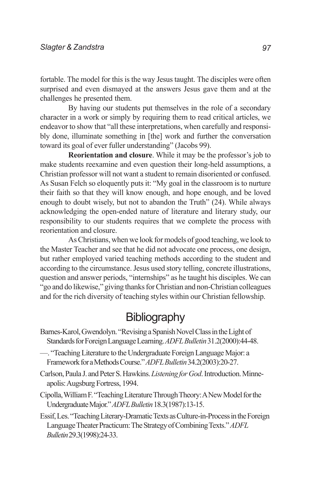fortable. The model for this is the way Jesus taught. The disciples were often surprised and even dismayed at the answers Jesus gave them and at the challenges he presented them.

By having our students put themselves in the role of a secondary character in a work or simply by requiring them to read critical articles, we endeavor to show that "all these interpretations, when carefully and responsibly done, illuminate something in [the] work and further the conversation toward its goal of ever fuller understanding" (Jacobs 99).

**Reorientation and closure**. While it may be the professor's job to make students reexamine and even question their long-held assumptions, a Christian professor will not want a student to remain disoriented or confused. As Susan Felch so eloquently puts it: "My goal in the classroom is to nurture their faith so that they will know enough, and hope enough, and be loved enough to doubt wisely, but not to abandon the Truth" (24). While always acknowledging the open-ended nature of literature and literary study, our responsibility to our students requires that we complete the process with reorientation and closure.

As Christians, when we look for models of good teaching, we look to the Master Teacher and see that he did not advocate one process, one design, but rather employed varied teaching methods according to the student and according to the circumstance. Jesus used story telling, concrete illustrations, question and answer periods, "internships" as he taught his disciples. We can "go and do likewise," giving thanks for Christian and non-Christian colleagues and for the rich diversity of teaching styles within our Christian fellowship.

## **Bibliography**

- Barnes-Karol, Gwendolyn. "Revising a Spanish Novel Class in the Light of Standards for Foreign Language Learning. *ADFL Bulletin* 31.2(2000):44-48.
- —. "Teaching Literature to the Undergraduate Foreign Language Major: a Framework for a Methods Course." *ADFL Bulletin* 34.2(2003):20-27.
- Carlson, Paula J. and Peter S. Hawkins. *Listening for God*. Introduction. Minneapolis: Augsburg Fortress, 1994.
- Cipolla, William F. "Teaching Literature Through Theory: A New Model for the Undergraduate Major." *ADFL Bulletin* 18.3(1987):13-15.
- Essif, Les. "Teaching Literary-Dramatic Texts as Culture-in-Process in the Foreign Language Theater Practicum: The Strategy of Combining Texts." *ADFL Bulletin* 29.3(1998):24-33.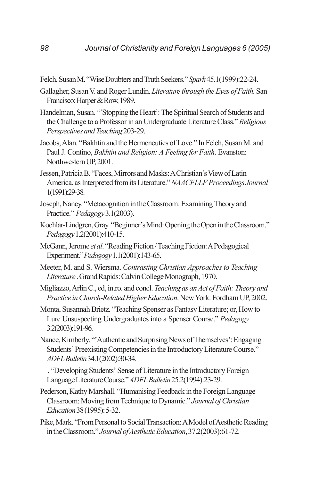- Felch, Susan M. "Wise Doubters and Truth Seekers." *Spark* 45.1(1999):22-24.
- Gallagher, Susan V. and Roger Lundin. *Literature through the Eyes of Faith.* San Francisco: Harper & Row, 1989.
- Handelman, Susan. "'Stopping the Heart': The Spiritual Search of Students and the Challenge to a Professor in an Undergraduate Literature Class." *Religious Perspectives and Teaching* 203-29.
- Jacobs, Alan. "Bakhtin and the Hermeneutics of Love." In Felch, Susan M. and Paul J. Contino, *Bakhtin and Religion: A Feeling for Faith*. Evanston: Northwestern UP, 2001.
- Jessen, Patricia B. "Faces, Mirrors and Masks: A Christian's View of Latin America, as Interpreted from its Literature." *NAACFLLF Proceedings Journal* 1(1991):29-38.
- Joseph, Nancy. "Metacognition in the Classroom: Examining Theory and Practice." *Pedagogy* 3.1(2003).
- Kochlar-Lindgren, Gray. "Beginner's Mind: Opening the Open in the Classroom." *Pedagogy* 1.2(2001):410-15.
- McGann, Jerome *et al*. "Reading Fiction / Teaching Fiction: A Pedagogical Experiment." *Pedagogy* 1.1(2001):143-65.
- Meeter, M. and S. Wiersma. *Contrasting Christian Approaches to Teaching Literature* . Grand Rapids: Calvin College Monograph, 1970.
- Migliazzo, Arlin C., ed, intro. and concl. *Teaching as an Act of Faith: Theory and Practice in Church-Related Higher Education*. New York: Fordham UP, 2002.
- Monta, Susannah Brietz. "Teaching Spenser as Fantasy Literature; or, How to Lure Unsuspecting Undergraduates into a Spenser Course." *Pedagogy* 3.2(2003):191-96.
- Nance, Kimberly. "'Authentic and Surprising News of Themselves': Engaging Students' Preexisting Competencies in the Introductory Literature Course." *ADFL Bulletin* 34.1(2002):30-34.
- —. "Developing Students' Sense of Literature in the Introductory Foreign Language Literature Course." *ADFL Bulletin* 25.2(1994):23-29.
- Pederson, Kathy Marshall. "Humanising Feedback in the Foreign Language Classroom: Moving from Technique to Dynamic." *Journal of Christian Education* 38 (1995): 5-32.
- Pike, Mark. "From Personal to Social Transaction: A Model of Aesthetic Reading in the Classroom." *Journal of Aesthetic Education*, 37.2(2003):61-72.